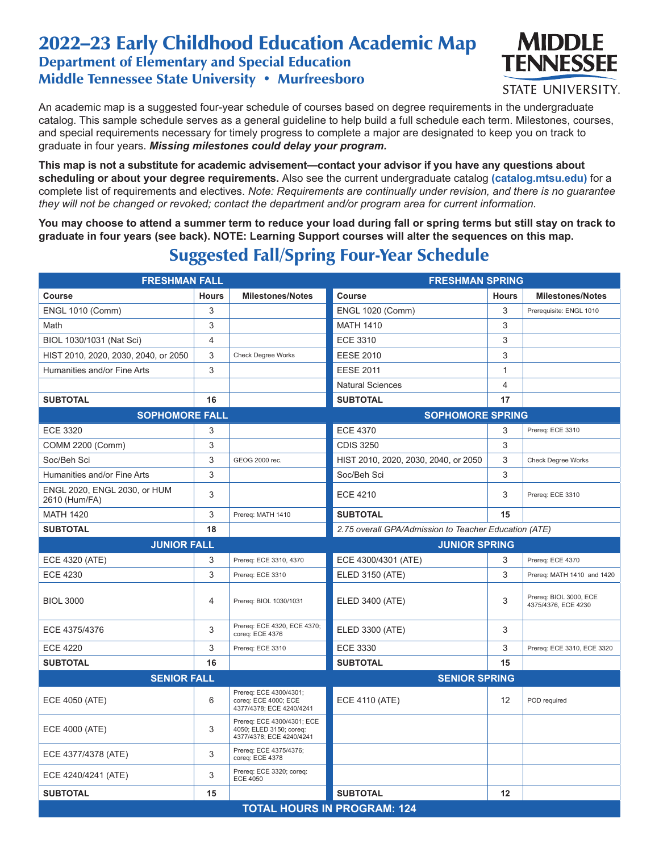## 2022–23 Early Childhood Education Academic Map Department of Elementary and Special Education Middle Tennessee State University • Murfreesboro



STATE UNIVERSITY.

An academic map is a suggested four-year schedule of courses based on degree requirements in the undergraduate catalog. This sample schedule serves as a general guideline to help build a full schedule each term. Milestones, courses, and special requirements necessary for timely progress to complete a major are designated to keep you on track to graduate in four years. *Missing milestones could delay your program.*

**This map is not a substitute for academic advisement—contact your advisor if you have any questions about scheduling or about your degree requirements.** Also see the current undergraduate catalog **(catalog.mtsu.edu)** for a complete list of requirements and electives. *Note: Requirements are continually under revision, and there is no guarantee they will not be changed or revoked; contact the department and/or program area for current information.*

**You may choose to attend a summer term to reduce your load during fall or spring terms but still stay on track to graduate in four years (see back). NOTE: Learning Support courses will alter the sequences on this map.**

## Suggested Fall/Spring Four-Year Schedule

| <b>FRESHMAN FALL</b>                          |              | <b>FRESHMAN SPRING</b>                                                            |                                                       |              |                                               |  |
|-----------------------------------------------|--------------|-----------------------------------------------------------------------------------|-------------------------------------------------------|--------------|-----------------------------------------------|--|
| Course                                        | <b>Hours</b> | <b>Milestones/Notes</b>                                                           | Course                                                | <b>Hours</b> | <b>Milestones/Notes</b>                       |  |
| <b>ENGL 1010 (Comm)</b>                       | 3            |                                                                                   | <b>ENGL 1020 (Comm)</b>                               | 3            | Prerequisite: ENGL 1010                       |  |
| Math                                          | 3            |                                                                                   | <b>MATH 1410</b>                                      | 3            |                                               |  |
| BIOL 1030/1031 (Nat Sci)                      | 4            |                                                                                   | <b>ECE 3310</b>                                       | 3            |                                               |  |
| HIST 2010, 2020, 2030, 2040, or 2050          | 3            | Check Degree Works                                                                | <b>EESE 2010</b>                                      | 3            |                                               |  |
| Humanities and/or Fine Arts                   | 3            |                                                                                   | <b>EESE 2011</b>                                      | $\mathbf{1}$ |                                               |  |
|                                               |              |                                                                                   | <b>Natural Sciences</b>                               | 4            |                                               |  |
| <b>SUBTOTAL</b>                               | 16           |                                                                                   | <b>SUBTOTAL</b>                                       | 17           |                                               |  |
| <b>SOPHOMORE FALL</b>                         |              | <b>SOPHOMORE SPRING</b>                                                           |                                                       |              |                                               |  |
| <b>ECE 3320</b>                               | 3            |                                                                                   | <b>ECE 4370</b>                                       | 3            | Prereq: ECE 3310                              |  |
| COMM 2200 (Comm)                              | 3            |                                                                                   | <b>CDIS 3250</b>                                      | 3            |                                               |  |
| Soc/Beh Sci                                   | 3            | GEOG 2000 rec.                                                                    | HIST 2010, 2020, 2030, 2040, or 2050                  | 3            | Check Degree Works                            |  |
| Humanities and/or Fine Arts                   | 3            |                                                                                   | Soc/Beh Sci                                           | 3            |                                               |  |
| ENGL 2020, ENGL 2030, or HUM<br>2610 (Hum/FA) | 3            |                                                                                   | <b>ECE 4210</b>                                       | 3            | Prereq: ECE 3310                              |  |
| <b>MATH 1420</b>                              | 3            | Prereq: MATH 1410                                                                 | <b>SUBTOTAL</b>                                       | 15           |                                               |  |
| <b>SUBTOTAL</b>                               | 18           |                                                                                   | 2.75 overall GPA/Admission to Teacher Education (ATE) |              |                                               |  |
| <b>JUNIOR FALL</b>                            |              |                                                                                   | <b>JUNIOR SPRING</b>                                  |              |                                               |  |
| ECE 4320 (ATE)                                | 3            | Prereq: ECE 3310, 4370                                                            | ECE 4300/4301 (ATE)                                   | 3            | Prereq: ECE 4370                              |  |
| <b>ECE 4230</b>                               | 3            | Prereq: ECE 3310                                                                  | <b>ELED 3150 (ATE)</b>                                | 3            | Prereq: MATH 1410 and 1420                    |  |
| <b>BIOL 3000</b>                              | 4            | Prereg: BIOL 1030/1031                                                            | ELED 3400 (ATE)                                       | 3            | Prereg: BIOL 3000, ECE<br>4375/4376, ECE 4230 |  |
| ECE 4375/4376                                 | 3            | Prereq: ECE 4320, ECE 4370;<br>coreq: ECE 4376                                    | ELED 3300 (ATE)                                       | 3            |                                               |  |
| <b>ECE 4220</b>                               | 3            | Prereq: ECE 3310                                                                  | <b>ECE 3330</b>                                       | 3            | Prereg: ECE 3310, ECE 3320                    |  |
| <b>SUBTOTAL</b>                               | 16           |                                                                                   | <b>SUBTOTAL</b>                                       | 15           |                                               |  |
| <b>SENIOR FALL</b>                            |              | <b>SENIOR SPRING</b>                                                              |                                                       |              |                                               |  |
| ECE 4050 (ATE)                                | 6            | Prereq: ECE 4300/4301;<br>coreq: ECE 4000; ECE<br>4377/4378; ECE 4240/4241        | <b>ECE 4110 (ATE)</b>                                 | 12           | POD required                                  |  |
| ECE 4000 (ATE)                                | 3            | Prereq: ECE 4300/4301; ECE<br>4050; ELED 3150; coreq:<br>4377/4378; ECE 4240/4241 |                                                       |              |                                               |  |
| ECE 4377/4378 (ATE)                           | 3            | Prereq: ECE 4375/4376;<br>coreq: ECE 4378                                         |                                                       |              |                                               |  |
| ECE 4240/4241 (ATE)                           | 3            | Prereg: ECE 3320; coreg:<br><b>ECE 4050</b>                                       |                                                       |              |                                               |  |
| <b>SUBTOTAL</b>                               | 15           |                                                                                   | <b>SUBTOTAL</b>                                       | 12           |                                               |  |
|                                               |              |                                                                                   | <b>TOTAL HOURS IN PROGRAM: 124</b>                    |              |                                               |  |